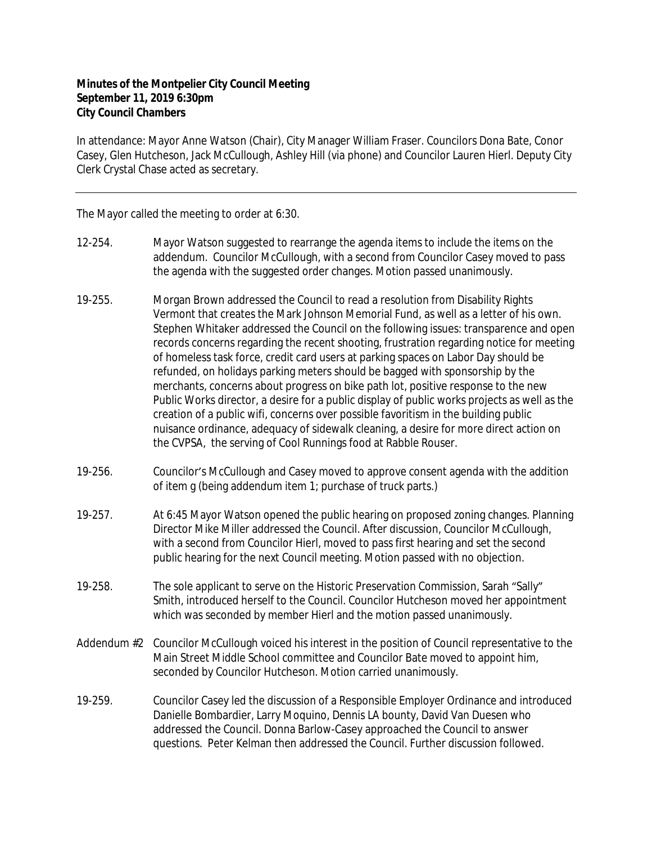## **Minutes of the Montpelier City Council Meeting September 11, 2019 6:30pm City Council Chambers**

In attendance: Mayor Anne Watson (Chair), City Manager William Fraser. Councilors Dona Bate, Conor Casey, Glen Hutcheson, Jack McCullough, Ashley Hill (via phone) and Councilor Lauren Hierl. Deputy City Clerk Crystal Chase acted as secretary.

The Mayor called the meeting to order at 6:30.

- 12-254. Mayor Watson suggested to rearrange the agenda items to include the items on the addendum. Councilor McCullough, with a second from Councilor Casey moved to pass the agenda with the suggested order changes. Motion passed unanimously.
- 19-255. Morgan Brown addressed the Council to read a resolution from Disability Rights Vermont that creates the Mark Johnson Memorial Fund, as well as a letter of his own. Stephen Whitaker addressed the Council on the following issues: transparence and open records concerns regarding the recent shooting, frustration regarding notice for meeting of homeless task force, credit card users at parking spaces on Labor Day should be refunded, on holidays parking meters should be bagged with sponsorship by the merchants, concerns about progress on bike path lot, positive response to the new Public Works director, a desire for a public display of public works projects as well as the creation of a public wifi, concerns over possible favoritism in the building public nuisance ordinance, adequacy of sidewalk cleaning, a desire for more direct action on the CVPSA, the serving of Cool Runnings food at Rabble Rouser.
- 19-256. Councilor's McCullough and Casey moved to approve consent agenda with the addition of item g (being addendum item 1; purchase of truck parts.)
- 19-257. At 6:45 Mayor Watson opened the public hearing on proposed zoning changes. Planning Director Mike Miller addressed the Council. After discussion, Councilor McCullough, with a second from Councilor Hierl, moved to pass first hearing and set the second public hearing for the next Council meeting. Motion passed with no objection.
- 19-258. The sole applicant to serve on the Historic Preservation Commission, Sarah "Sally" Smith, introduced herself to the Council. Councilor Hutcheson moved her appointment which was seconded by member Hierl and the motion passed unanimously.
- Addendum #2 Councilor McCullough voiced his interest in the position of Council representative to the Main Street Middle School committee and Councilor Bate moved to appoint him, seconded by Councilor Hutcheson. Motion carried unanimously.
- 19-259. Councilor Casey led the discussion of a Responsible Employer Ordinance and introduced Danielle Bombardier, Larry Moquino, Dennis LA bounty, David Van Duesen who addressed the Council. Donna Barlow-Casey approached the Council to answer questions. Peter Kelman then addressed the Council. Further discussion followed.